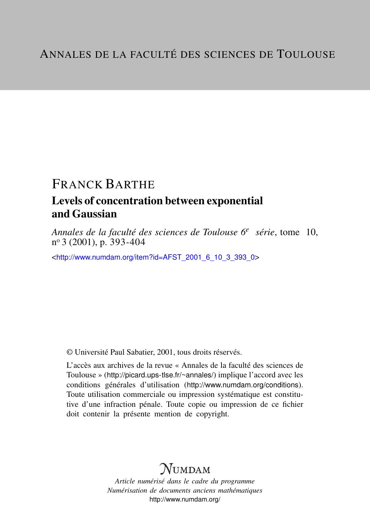# FRANCK BARTHE

# Levels of concentration between exponential and Gaussian

*Annales de la faculté des sciences de Toulouse 6<sup>e</sup> série*, tome 10, n <sup>o</sup> 3 (2001), p. 393-404

<[http://www.numdam.org/item?id=AFST\\_2001\\_6\\_10\\_3\\_393\\_0](http://www.numdam.org/item?id=AFST_2001_6_10_3_393_0)>

© Université Paul Sabatier, 2001, tous droits réservés.

L'accès aux archives de la revue « Annales de la faculté des sciences de Toulouse » (<http://picard.ups-tlse.fr/~annales/>) implique l'accord avec les conditions générales d'utilisation (<http://www.numdam.org/conditions>). Toute utilisation commerciale ou impression systématique est constitutive d'une infraction pénale. Toute copie ou impression de ce fichier doit contenir la présente mention de copyright.

# **NUMDAM**

*Article numérisé dans le cadre du programme Numérisation de documents anciens mathématiques* <http://www.numdam.org/>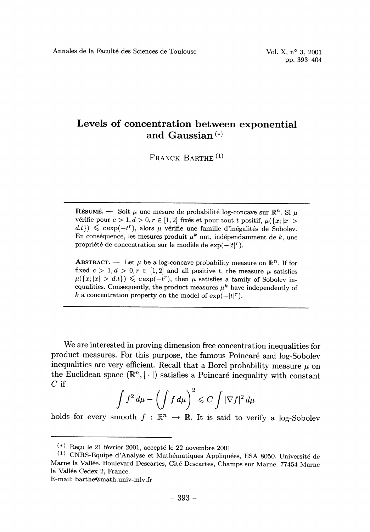## Levels of concentration between exponential and Gaussian (\*)

FRANCK BARTHE<sup>(1)</sup>

**RESUME.** - Soit  $\mu$  une mesure de probabilité log-concave sur  $\mathbb{R}^n$ . Si  $\mu$  vérifie pour  $c > 1, d > 0, r \in [1, 2]$  fixés et pour tout t positif,  $\mu({x; |x|} >$  $(d.t)$ )  $\leq$  c exp(-t<sup>r</sup>), alors  $\mu$  vérifie une famille d'inégalités de Sobolev. En conséquence, les mesures produit  $\mu^k$  ont, indépendamment de k, une propriété de concentration sur le modèle de  $\exp(-|t|^r)$ .

**ABSTRACT.** - Let  $\mu$  be a log-concave probability measure on  $\mathbb{R}^n$ . If for fixed  $c > 1, d > 0, r \in [1, 2]$  and all positive t, the measure  $\mu$  satisfies  $\mu({x; |x| > d.t}) \leq c \exp(-t^r)$ , then  $\mu$  satisfies a family of Sobolev inequalities. Consequently, the product measures  $\mu^k$  have independently of k a concentration property on the model of  $\exp(-|t|^r)$ .

We are interested in proving dimension free concentration inequalities for product measures. For this purpose, the famous Poincare and log-Sobolev inequalities are very efficient. Recall that a Borel probability measure  $\mu$  on the Euclidean space  $(\mathbb{R}^n, |\cdot|)$  satisfies a Poincaré inequality with constant  $C$  if

$$
\int f^2 d\mu - \left(\int f d\mu\right)^2 \leqslant C \int |\nabla f|^2 d\mu
$$

holds for every smooth  $f : \mathbb{R}^n \to \mathbb{R}$ . It is said to verify a log-Sobolev

E-mail: barthe@math.univ-mlv.fr

 $(*)$  Reçu le 21 février 2001, accepté le 22 novembre 2001

<sup>&</sup>lt;sup>(1)</sup> CNRS-Equipe d'Analyse et Mathématiques Appliquées, ESA 8050. Université de Marne la Vallee. Boulevard Descartes, Cite Descartes, Champs sur Marne. 77454 Marne la Vallée Cedex 2, France.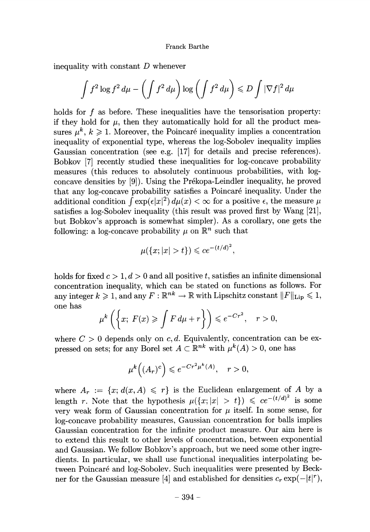inequality with constant  $D$  whenever

$$
\int f^2 \log f^2 d\mu - \left( \int f^2 d\mu \right) \log \left( \int f^2 d\mu \right) \le D \int |\nabla f|^2 d\mu
$$

holds for  $f$  as before. These inequalities have the tensorisation property: if they hold for  $\mu$ , then they automatically hold for all the product measures  $\mu^k, k \geq 1$ . Moreover, the Poincaré inequality implies a concentration inequality of exponential type, whereas the log-Sobolev inequality implies Gaussian concentration (see e.g. [17] for details and precise references). Bobkov [7] recently studied these inequalities for log-concave probability measures (this reduces to absolutely continuous probabilities, with log concave densities by [9]). Using the Prékopa-Leindler inequality, he proved that any log-concave probability satisfies a Poincare inequality. Under the additional condition  $\int \exp(\epsilon |x|^2) d\mu(x) < \infty$  for a positive  $\epsilon$ , the measure  $\mu$ satisfies a log-Sobolev inequality (this result was proved first by Wang [21], but Bobkov's approach is somewhat simpler). As a corollary, one gets the following: a log-concave probability  $\mu$  on  $\mathbb{R}^n$  such that

$$
\mu({x; |x| > t}) \le ce^{-(t/d)^2},
$$

holds for fixed  $c > 1, d > 0$  and all positive t, satisfies an infinite dimensional concentration inequality, which can be stated on functions as follows. For any integer  $k \geq 1$ , and any  $F : \mathbb{R}^{nk} \to \mathbb{R}$  with Lipschitz constant  $||F||_{\text{Lip}} \leq 1$ , one has

$$
\mu^k\left(\left\{x;\ F(x)\geqslant \int F\,d\mu+r\right\}\right)\leqslant e^{-Cr^2},\quad r>0,
$$

where  $C > 0$  depends only on c, d. Equivalently, concentration can be expressed on sets; for any Borel set  $A \subset \mathbb{R}^{nk}$  with  $\mu^k(A) > 0$ , one has

$$
\mu^k\Big((A_r)^c\Big) \leqslant e^{-Cr^2\mu^k(A)}, \quad r > 0,
$$

where  $A_r := \{x; d(x, A) \leq r\}$  is the Euclidean enlargement of A by a length r. Note that the hypothesis  $\mu({x; |x| > t}) \leq c e^{-(t/d)^2}$  is some very weak form of Gaussian concentration for  $\mu$  itself. In some sense, for log-concave probability measures, Gaussian concentration for balls implies Gaussian concentration for the infinite product measure. Our aim here is to extend this result to other levels of concentration, between exponential and Gaussian. We follow Bobkov's approach, but we need some other ingredients. In particular, we shall use functional inequalities interpolating between Poincaré and log-Sobolev. Such inequalities were presented by Beckner for the Gaussian measure [4] and established for densities  $c_r \exp(-|t|^r)$ ,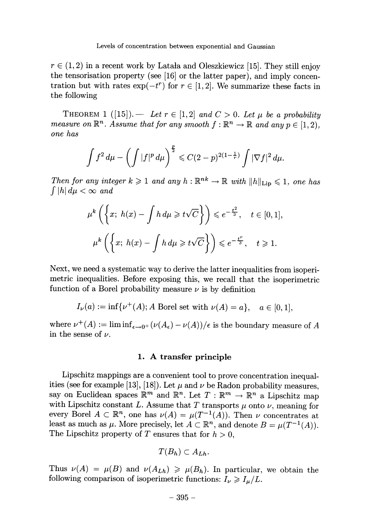$r \in (1, 2)$  in a recent work by Latala and Oleszkiewicz [15]. They still enjoy the tensorisation property (see [16] or the latter paper), and imply concentration but with rates  $\exp(-t^r)$  for  $r \in [1, 2]$ . We summarize these facts in the following

THEOREM 1 ([15]). - Let  $r \in [1, 2]$  and  $C > 0$ . Let  $\mu$  be a probability measure on  $\mathbb{R}^n$ . Assume that for any smooth  $f : \mathbb{R}^n \to \mathbb{R}$  and any  $p \in [1, 2)$ . one has

$$
\int f^2 d\mu - \left( \int |f|^p d\mu \right)^{\frac{p}{2}} \leqslant C(2-p)^{2(1-\frac{1}{r})} \int |\nabla f|^2 d\mu.
$$

Then for any integer  $k \geq 1$  and any  $h : \mathbb{R}^{nk} \to \mathbb{R}$  with  $||h||_{\text{Lip}} \leq 1$ , one has  $\int |h| d\mu < \infty$  and

$$
\mu^k \left( \left\{ x; h(x) - \int h \, d\mu \ge t \sqrt{C} \right\} \right) \le e^{-\frac{t^2}{3}}, \quad t \in [0, 1],
$$
  

$$
\mu^k \left( \left\{ x; h(x) - \int h \, d\mu \ge t \sqrt{C} \right\} \right) \le e^{-\frac{t^r}{3}}, \quad t \ge 1.
$$

Next, we need a systematic way to derive the latter inequalities from isoperimetric inequalities. Before exposing this, we recall that the isoperimetric function of a Borel probability measure  $\nu$  is by definition

 $I_{\nu}(a) := \inf \{ \nu^+(A); A \text{ Borel set with } \nu(A) = a \}, \quad a \in [0,1],$ 

where  $\nu^+(A) := \liminf_{\epsilon \to 0^+} (\nu(A_\epsilon) - \nu(A)) / \epsilon$  is the boundary measure of A in the sense of  $\nu$ .

### 1. A transfer principle

Lipschitz mappings are a convenient tool to prove concentration inequalities (see for example [13], [18]). Let  $\mu$  and  $\nu$  be Radon probability measures, say on Euclidean spaces  $\mathbb{R}^m$  and  $\mathbb{R}^n$ . Let  $T : \mathbb{R}^m \to \mathbb{R}^n$  a Lipschitz map with Lipschitz constant L. Assume that T transports  $\mu$  onto  $\nu$ , meaning for every Borel  $A \subset \mathbb{R}^n$ , one has  $\nu(A) = \mu(T^{-1}(A))$ . Then  $\nu$  concentrates at least as much as  $\mu$ . More precisely, let  $A \subset \mathbb{R}^n$ , and denote  $B = \mu(T^{-1}(A))$ . The Lipschitz property of T ensures that for  $h > 0$ ,

$$
T(B_h)\subset A_{Lh}.
$$

Thus  $\nu(A) = \mu(B)$  and  $\nu(A_{Lh}) \geq \mu(B_h)$ . In particular, we obtain the following comparison of isoperimetric functions:  $I_{\nu} \geqslant I_{\mu}/L$ .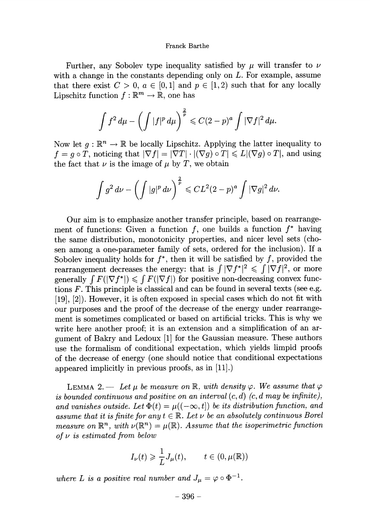Further, any Sobolev type inequality satisfied by  $\mu$  will transfer to  $\nu$ with a change in the constants depending only on  $L$ . For example, assume that there exist  $C > 0$ ,  $a \in [0,1]$  and  $p \in [1,2)$  such that for any locally Lipschitz function  $f : \mathbb{R}^m \to \mathbb{R}$ , one has

$$
\int f^2 d\mu - \left(\int |f|^p d\mu\right)^{\frac{2}{p}} \leqslant C(2-p)^a \int |\nabla f|^2 d\mu.
$$

Now let  $q : \mathbb{R}^n \to \mathbb{R}$  be locally Lipschitz. Applying the latter inequality to  $f = g \circ T$ , noticing that  $|\nabla f| = |\nabla T| \cdot |(\nabla g) \circ T| \leq L |(\nabla g) \circ T|$ , and using the fact that  $\nu$  is the image of  $\mu$  by T, we obtain

$$
\int g^2\,d\nu - \left(\int |g|^p\,d\nu\right)^{\frac{2}{p}} \leqslant CL^2(2-p)^a \int |\nabla g|^2\,d\nu.
$$

Our aim is to emphasize another transfer principle, based on rearrangement of functions: Given a function f, one builds a function  $f^*$  having the same distribution, monotonicity properties, and nicer level sets (cho sen among a one-parameter family of sets, ordered for the inclusion). If a Sobolev inequality holds for  $f^*$ , then it will be satisfied by f, provided the rearrangement decreases the energy: that is  $\int |\nabla f|^2 \leq \int |\nabla f|^2$ , or more generally  $\int F(|\nabla f^*|) \leq \int F(|\nabla f|)$  for positive non-decreasing convex functions F. This principle is classical and can be found in several texts (see e.g. [19], [2]). However, it is often exposed in special cases which do not fit with our purposes and the proof of the decrease of the energy under rearrangement is sometimes complicated or based on artificial tricks. This is why we write here another proof; it is an extension and a simplification of an argument of Bakry and Ledoux [1] for the Gaussian measure. These authors use the formalism of conditional expectation, which yields limpid proofs of the decrease of energy (one should notice that conditional expectations appeared implicitly in previous proofs, as in [11].)

LEMMA 2. - Let  $\mu$  be measure on R, with density  $\varphi$ . We assume that  $\varphi$ is bounded continuous and positive on an interval  $(c, d)$  (c, d may be infinite), and vanishes outside. Let  $\Phi(t) = \mu((-\infty, t])$  be its distribution function, and assume that it is finite for any  $t \in \mathbb{R}$ . Let  $\nu$  be an absolutely continuous Borel measure on  $\mathbb{R}^n$ , with  $\nu(\mathbb{R}^n) = \mu(\mathbb{R})$ . Assume that the isoperimetric function of  $\nu$  is estimated from below

$$
I_{\nu}(t) \geq \frac{1}{L} J_{\mu}(t), \qquad t \in (0, \mu(\mathbb{R}))
$$

where L is a positive real number and  $J_{\mu} = \varphi \circ \Phi^{-1}$ .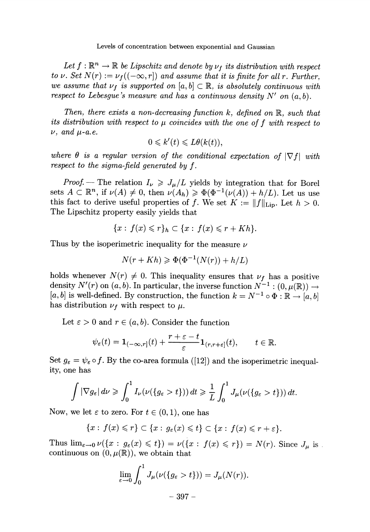Levels of concentration between exponential and Gaussian

Let  $f : \mathbb{R}^n \to \mathbb{R}$  be Lipschitz and denote by  $\nu_f$  its distribution with respect to v. Set  $N(r) := \nu_f((-\infty, r])$  and assume that it is finite for all r. Further, we assume that  $\nu_f$  is supported on  $[a, b] \subset \mathbb{R}$ , is absolutely continuous with respect to Lebesgue's measure and has a continuous density  $N'$  on  $(a, b)$ .

Then, there exists a non-decreasing function  $k$ , defined on  $\mathbb{R}$ , such that its distribution with respect to  $\mu$  coincides with the one of f with respect to  $\nu$ , and  $\mu$ -a.e.

$$
0 \leqslant k'(t) \leqslant L\theta(k(t)),
$$

where  $\theta$  is a regular version of the conditional expectation of  $|\nabla f|$  with respect to the sigma-field generated by f. .

*Proof.* – The relation  $I_{\nu} \geq J_{\mu}/L$  yields by integration that for Borel sets  $A \subset \mathbb{R}^n$ , if  $\nu(A) \neq 0$ , then  $\nu(A_h) \geq \Phi(\Phi^{-1}(\nu(A)) + h/L)$ . Let us use this fact to derive useful properties of f. We set  $K := ||f||_{\text{Lip}}$ . Let  $h > 0$ . The Lipschitz property easily yields that

$$
\{x: f(x) \leqslant r\}_h \subset \{x: f(x) \leqslant r + Kh\}.
$$

Thus by the isoperimetric inequality for the measure  $\nu$ 

$$
N(r+Kh) \geqslant \Phi(\Phi^{-1}(N(r)) + h/L)
$$

holds whenever  $N(r) \neq 0$ . This inequality ensures that  $\nu_f$  has a positive density  $N'(r)$  on  $(a, b)$ . In particular, the inverse function  $N^{-1}$ :  $(0, \mu(\mathbb{R})) \rightarrow$ [a, b] is well-defined. By construction, the function  $k = N^{-1} \circ \Phi : \mathbb{R} \to [a, b]$ has distribution  $\nu_f$  with respect to  $\mu$ .

Let  $\varepsilon > 0$  and  $r \in (a, b)$ . Consider the function

$$
\psi_{\varepsilon}(t)=\mathbf{1}_{(-\infty,r]}(t)+\frac{r+\varepsilon-t}{\varepsilon}\mathbf{1}_{(r,r+\varepsilon]}(t),\qquad t\in\mathbb{R}.
$$

Set  $g_{\varepsilon} = \psi_{\varepsilon} \circ f$ . By the co-area formula ([12]) and the isoperimetric inequality, one has

$$
\int |\nabla g_{\varepsilon}| d\nu \geqslant \int_0^1 I_{\nu}(\nu({g_{\varepsilon}} > t))) dt \geqslant \frac{1}{L} \int_0^1 J_{\mu}(\nu({g_{\varepsilon}} > t))) dt.
$$

Now, we let  $\varepsilon$  to zero. For  $t \in (0,1)$ , one has

$$
\{x: f(x)\leq r\}\subset\{x: g_{\varepsilon}(x)\leq t\}\subset\{x: f(x)\leq r+\varepsilon\}.
$$

Thus  $\lim_{\varepsilon\to 0} \nu({x : g_{\varepsilon}(x) \leq t}) = \nu({x : f(x) \leq r}) = N(r)$ . Since  $J_\mu$  is continuous on  $(0, \mu(\mathbb{R}))$ , we obtain that

$$
\lim_{\varepsilon \to 0} \int_0^1 J_\mu(\nu({g_\varepsilon > t}))) = J_\mu(N(r)).
$$

 $-397-$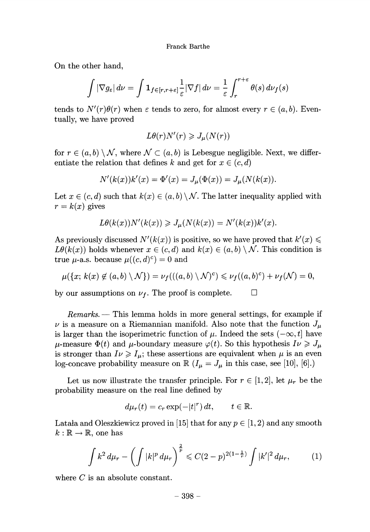On the other hand,

$$
\int |\nabla g_{\varepsilon}| d\nu = \int \mathbf{1}_{f \in [r, r+\varepsilon]} \frac{1}{\varepsilon} |\nabla f| d\nu = \frac{1}{\varepsilon} \int_r^{r+\varepsilon} \theta(s) d\nu_f(s)
$$

tends to  $N'(r)\theta(r)$  when  $\varepsilon$  tends to zero, for almost every  $r \in (a, b)$ . Eventually, we have proved

$$
L\theta(r)N'(r) \geqslant J_{\mu}(N(r))
$$

for  $r \in (a, b) \setminus \mathcal{N}$ , where  $\mathcal{N} \subset (a, b)$  is Lebesgue negligible. Next, we differentiate the relation that defines k and get for  $x \in (c, d)$ 

$$
N'(k(x))k'(x) = \Phi'(x) = J_{\mu}(\Phi(x)) = J_{\mu}(N(k(x))).
$$

Let  $x \in (c, d)$  such that  $k(x) \in (a, b) \setminus \mathcal{N}$ . The latter inequality applied with  $r = k(x)$  gives

$$
L\theta(k(x))N'(k(x)) \geqslant J_{\mu}(N(k(x)) = N'(k(x))k'(x).
$$

As previously discussed  $N'(k(x))$  is positive, so we have proved that  $k'(x) \leq$  $L\theta(k(x))$  holds whenever  $x \in (c, d)$  and  $k(x) \in (a, b) \setminus \mathcal{N}$ . This condition is true  $\mu$ -a.s. because  $\mu((c, d)^c) = 0$  and

$$
\mu(\lbrace x; k(x) \not\in (a,b) \setminus \mathcal{N} \rbrace) = \nu_f(((a,b) \setminus \mathcal{N})^c) \leq \nu_f((a,b)^c) + \nu_f(\mathcal{N}) = 0,
$$

by our assumptions on  $\nu_f$ . The proof is complete.  $\Box$ 

Remarks. — This lemma holds in more general settings, for example if  $\nu$  is a measure on a Riemannian manifold. Also note that the function  $J_{\mu}$ is larger than the isoperimetric function of  $\mu$ . Indeed the sets  $(-\infty, t]$  have  $\mu$ -measure  $\Phi(t)$  and  $\mu$ -boundary measure  $\varphi(t)$ . So this hypothesis  $I\nu \geqslant J_{\mu}$ is stronger than  $I\nu \ge I_\mu$ ; these assertions are equivalent when  $\mu$  is an even log-concave probability measure on  $\mathbb{R}$   $(I_{\mu} = J_{\mu}$  in this case, see [10], [6].)

Let us now illustrate the transfer principle. For  $r \in [1, 2]$ , let  $\mu_r$  be the probability measure on the real line defined by

$$
d\mu_r(t) = c_r \exp(-|t|^r) dt, \qquad t \in \mathbb{R}.
$$

Latala and Oleszkiewicz proved in [15] that for any  $p \in [1, 2)$  and any smooth  $k : \mathbb{R} \to \mathbb{R}$ , one has

$$
\int k^2 d\mu_r - \left(\int |k|^p d\mu_r\right)^{\frac{2}{p}} \leqslant C(2-p)^{2(1-\frac{1}{r})} \int |k'|^2 d\mu_r, \tag{1}
$$

where C is an absolute constant.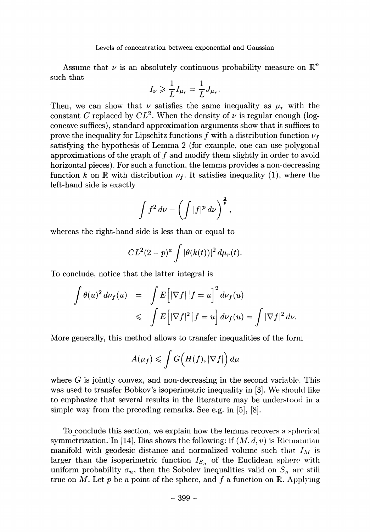Assume that  $\nu$  is an absolutely continuous probability measure on  $\mathbb{R}^n$ Levels of concentration between exponential as<br>
Assume that  $\nu$  is an absolutely continuous pro<br>
such that<br>  $I_{\nu} \geq \frac{1}{\tau} I_{\nu} = \frac{1}{\tau} J_{\nu}$ .

$$
I_{\nu} \geqslant \frac{1}{L} I_{\mu_r} = \frac{1}{L} J_{\mu_r}.
$$

Then, we can show that  $\nu$  satisfies the same inequality as  $\mu_r$  with the constant C replaced by  $CL^2$ . When the density of  $\nu$  is regular enough (logconcave suffices) , standard approximation arguments show that it suffices to prove the inequality for Lipschitz functions f with a distribution function  $\nu_f$ satisfying the hypothesis of Lemma 2 (for example, one can use polygonal approximations of the graph of f and modify them slightly in order to avoid horizontal pieces). For such a function, the lemma provides a non-decreasing function k on R with distribution  $\nu_f$ . It satisfies inequality (1), where the left-hand side is exactly

$$
\int f^2\,d\nu-\left(\int |f|^p\,d\nu\right)^{\frac{2}{p}},
$$

whereas the right-hand side is less than or equal to

$$
CL^2(2-p)^a \int |\theta(k(t))|^2 d\mu_r(t).
$$

To conclude, notice that the latter integral is

$$
\int \theta(u)^2 \, d\nu_f(u) = \int E \Big[ |\nabla f| \, |f = u \Big]^2 \, d\nu_f(u)
$$
\n
$$
\leqslant \int E \Big[ |\nabla f|^2 \, |f = u \Big] \, d\nu_f(u) = \int |\nabla f|^2 \, d\nu.
$$

More generally, this method allows to transfer inequalities of the form

$$
A(\mu_f) \leqslant \int G\Bigl(H(f),|\nabla f|\Bigr)\,d\mu
$$

where  $G$  is jointly convex, and non-decreasing in the second variable. This was used to transfer Bobkov's isoperimetric inequality in [3]. We should like to emphasize that several results in the literature may be understood in a simple way from the preceding remarks. See e.g. in [5], [8].

To conclude this section, we explain how the lemma recovers a spherical symmetrization. In [14], Ilias shows the following: if  $(M, d, v)$  is Riemannian manifold with geodesic distance and normalized volume such that  $I_M$  is larger than the isoperimetric function  $I_{S_n}$  of the Euclidean sphere with uniform probability  $\sigma_n$ , then the Sobolev inequalities valid on  $S_n$  are still true on M. Let p be a point of the sphere, and f a function on  $\mathbb{R}$ . Applying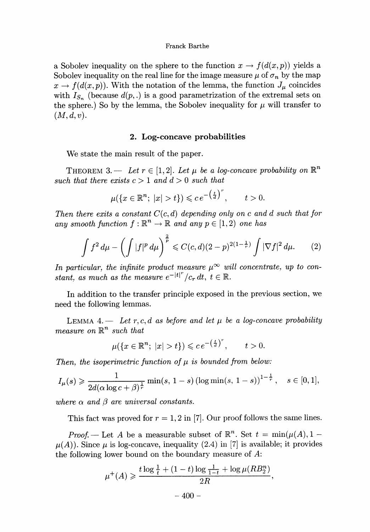a Sobolev inequality on the sphere to the function  $x \to f(d(x, p))$  yields a Sobolev inequality on the real line for the image measure  $\mu$  of  $\sigma_n$  by the map  $x \to f(d(x, p))$ . With the notation of the lemma, the function  $J_\mu$  coincides with  $I_{S_n}$  (because  $d(p,.)$  is a good parametrization of the extremal sets on the sphere.) So by the lemma, the Sobolev inequality for  $\mu$  will transfer to  $(M, d, v)$ .

## 2. Log-concave probabilities

We state the main result of the paper.

THEOREM 3. - Let  $r \in [1, 2]$ . Let  $\mu$  be a log-concave probability on  $\mathbb{R}^n$ such that there exists  $c > 1$  and  $d > 0$  such that

$$
\mu(\lbrace x \in \mathbb{R}^n; \ |x| > t \rbrace) \leqslant c \, e^{-\left(\frac{t}{d}\right)^r}, \qquad t > 0.
$$

Then there exits a constant  $C(c, d)$  depending only on c and d such that for any smooth function  $f : \mathbb{R}^n \to \mathbb{R}$  and any  $p \in [1, 2)$  one has

$$
\int f^2 d\mu - \left( \int |f|^p d\mu \right)^{\frac{2}{p}} \leqslant C(c,d)(2-p)^{2(1-\frac{1}{r})} \int |\nabla f|^2 d\mu. \tag{2}
$$

In particular, the infinite product measure  $\mu^{\infty}$  will concentrate, up to constant, as much as the measure  $e^{-|t|^r}/c_r dt$ ,  $t \in \mathbb{R}$ .

In addition to the transfer principle exposed in the previous section, we need the following lemmas.

LEMMA 4. - Let r, c, d as before and let  $\mu$  be a log-concave probability measure on  $\mathbb{R}^n$  such that

$$
\mu(\lbrace x \in \mathbb{R}^n; \ |x| > t \rbrace) \leqslant c \, e^{-\left(\frac{t}{d}\right)^r}, \qquad t > 0.
$$

Then, the isoperimetric function of  $\mu$  is bounded from below:

$$
I_{\mu}(s) \geq \frac{1}{2d(\alpha \log c + \beta)^{\frac{1}{r}}}\min(s, 1-s) (\log \min(s, 1-s))^{1-\frac{1}{r}}, \quad s \in [0,1],
$$

where  $\alpha$  and  $\beta$  are universal constants.

This fact was proved for  $r = 1, 2$  in [7]. Our proof follows the same lines.

*Proof.* - Let A be a measurable subset of  $\mathbb{R}^n$ . Set  $t = \min(\mu(A), 1 \mu(A)$ ). Since  $\mu$  is log-concave, inequality (2.4) in [7] is available; it provides the following lower bound on the boundary measure of A:

$$
\mu^+(A) \geq \frac{t \log \frac{1}{t} + (1-t) \log \frac{1}{1-t} + \log \mu(RB_2^n)}{2R},
$$
  
- 400 -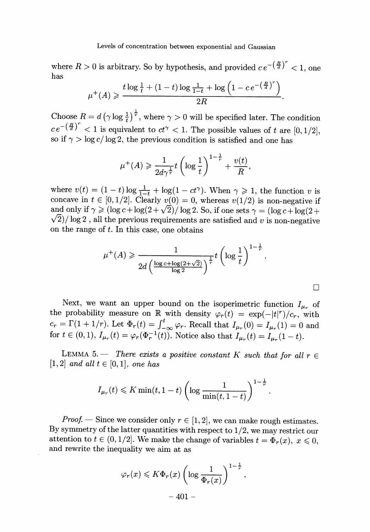where  $R > 0$  is arbitrary. So by hypothesis, and provided  $ce^{-\left(\frac{R}{d}\right)^r} < 1$ , one has

$$
\mu^{+}(A) \geq \frac{t \log \frac{1}{t} + (1-t) \log \frac{1}{1-t} + \log \left(1 - c e^{-\left(\frac{H}{d}\right)^{r}}\right)}{2R}
$$

Choose  $R = d (\gamma \log \frac{1}{t})^{\frac{1}{r}}$ , where  $\gamma > 0$  will be specified later. The condition  $ce^{-\left(\frac{R}{d}\right)^{r}} < 1$  is equivalent to  $ct^{\gamma} < 1$ . The possible values of t are  $[0, 1/2]$ , so if  $\gamma > \log c / \log 2$ , the previous condition is satisfied and one has

$$
\mu^+(A) \geqslant \frac{1}{2d\gamma^{\frac{1}{r}}}t\left(\log\frac{1}{t}\right)^{1-\frac{1}{r}}+\frac{v(t)}{R}.
$$

where  $v(t) = (1 - t) \log \frac{1}{1 - t} + \log(1 - ct^{\gamma})$ . When  $\gamma \geq 1$ , the function v is concave in  $t \in [0,1/2]$ . Clearly  $v(0) = 0$ , whereas  $v(1/2)$  is non-negative if and only if  $\gamma \geqslant (\log c + \log(2 + \sqrt{2}) / \log 2$ . So, if one sets  $\gamma = (\log c + \log(2 + \sqrt{2})) / \log 2$ .  $\sqrt{2}$ / $\log 2$ , all the previous requirements are satisfied and v is non-negative on the range of t. In this case, one obtains

$$
\mu^+(A) \geq \frac{1}{2d\left(\frac{\log c + \log(2+\sqrt{2})}{\log 2}\right)^{\frac{1}{r}}}t\left(\log\frac{1}{t}\right)^{1-\frac{1}{r}}.
$$

П

Next, we want an upper bound on the isoperimetric function  $I_{\mu_r}$  of the probability measure on  $\mathbb R$  with density  $\varphi_r(t) = \exp(-|t|^r)/c_r$ , with  $c_r = \Gamma(1 + 1/r)$ . Let  $\Phi_r(t) = \int_{-\infty}^{t} \varphi_r$ . Recall that  $I_{\mu_r}(0) = I_{\mu_r}(1) = 0$  and for  $t \in (0,1)$ ,  $I_{\mu_r}(t) = \varphi_r(\Phi_r^{-1}(t))$ . Notice also that  $I_{\mu_r}(t) = I_{\mu_r}(1-t)$ .

LEMMA 5. - There exists a positive constant K such that for all  $r \in$  $[1, 2]$  and all  $t \in [0, 1]$ , one has

$$
I_{\mu_r}(t) \leqslant K \min(t, 1-t) \left( \log \frac{1}{\min(t, 1-t)} \right)^{1-\frac{1}{r}}
$$

*Proof.* – Since we consider only  $r \in [1,2]$ , we can make rough estimates. By symmetry of the latter quantities with respect to 1/2, we may restrict our attention to  $t \in (0,1/2]$ . We make the change of variables  $t = \Phi_r(x)$ ,  $x \le 0$ , and rewrite the inequality we aim at as

$$
\varphi_r(x) \leqslant K\Phi_r(x) \left(\log \frac{1}{\Phi_r(x)}\right)^{1-\frac{1}{r}}.
$$
  
- 401 -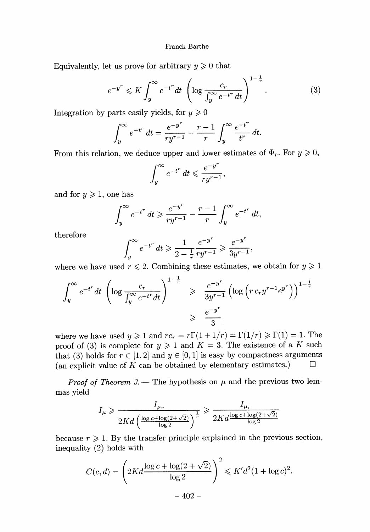Equivalently, let us prove for arbitrary  $y \ge 0$  that

$$
e^{-y^r} \leqslant K \int_y^{\infty} e^{-t^r} dt \left( \log \frac{c_r}{\int_y^{\infty} e^{-t^r} dt} \right)^{1-\frac{1}{r}}.
$$
 (3)

Integration by parts easily yields, for  $y \ge 0$ 

$$
\int_{y}^{\infty} e^{-t^r} dt = \frac{e^{-y^r}}{ry^{r-1}} - \frac{r-1}{r} \int_{y}^{\infty} \frac{e^{-t^r}}{t^r} dt.
$$

From this relation, we deduce upper and lower estimates of  $\Phi_r$ . For  $y \geq 0$ ,

$$
\int_{y}^{\infty} e^{-t^r} dt \leqslant \frac{e^{-y^r}}{ry^{r-1}}
$$

and for  $y \geq 1$ , one has

$$
\int_{y}^{\infty} e^{-t^r} dt \geqslant \frac{e^{-y^r}}{ry^{r-1}} - \frac{r-1}{r} \int_{y}^{\infty} e^{-t^r} dt.
$$

therefore

$$
\int_{y}^{\infty} e^{-t^{r}} dt \geq \frac{1}{2 - \frac{1}{r}} \frac{e^{-y^{r}}}{ry^{r-1}} \geq \frac{e^{-y^{r}}}{3y^{r-1}},
$$

where we have used  $r \leq 2$ . Combining these estimates, we obtain for  $y \geq 1$ 

$$
\int_{y}^{\infty} e^{-t^{r}} dt \left( \log \frac{c_{r}}{\int_{y}^{\infty} e^{-t^{r}} dt} \right)^{1-\frac{2}{r}} \geq \frac{e^{-y^{r}}}{3y^{r-1}} \left( \log \left( r c_{r} y^{r-1} e^{y^{r}} \right) \right)^{1-\frac{1}{r}}
$$

$$
\geq \frac{e^{-y^{r}}}{3}
$$

where we have used  $y \ge 1$  and  $rc_r = r\Gamma(1+1/r) = \Gamma(1/r) \ge \Gamma(1) = 1$ . The proof of (3) is complete for  $y \ge 1$  and  $K = 3$ . The existence of a K such that (3) holds for  $r \in [1,2]$  and  $y \in [0,1]$  is easy by compactness arguments (an explicit value of  $K$  can be obtained by elementary estimates.)  $\Box$ 

*Proof of Theorem 3.* – The hypothesis on  $\mu$  and the previous two lemmas yield

$$
I_{\mu} \geqslant \frac{I_{\mu_r}}{2Kd\left(\frac{\log c + \log(2+\sqrt{2})}{\log 2}\right)^{\frac{1}{r}}} \geqslant \frac{I_{\mu_r}}{2Kd\frac{\log c + \log(2+\sqrt{2})}{\log 2}}
$$

because  $r \geq 1$ . By the transfer principle explained in the previous section, inequality (2) holds with

$$
C(c,d) = \left(2Kd \frac{\log c + \log(2 + \sqrt{2})}{\log 2}\right)^2 \leq K'd^2(1 + \log c)^2.
$$
  
- 402 -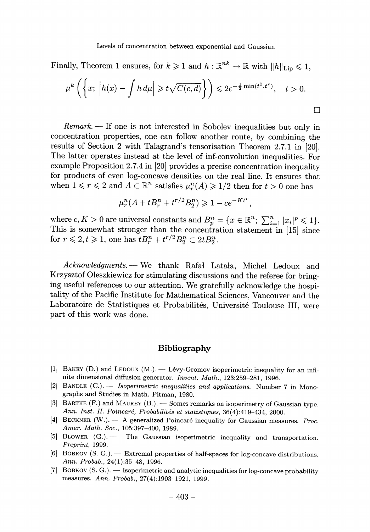Finally, Theorem 1 ensures, for  $k \geq 1$  and  $h : \mathbb{R}^{nk} \to \mathbb{R}$  with  $||h||_{\text{Lin}} \leq 1$ ,

$$
\mu^k\left(\left\{x; \ \left|h(x) - \int h \, d\mu\right| \geqslant t\sqrt{C(c,d)}\right\}\right) \leqslant 2e^{-\frac{1}{3}\min(t^2, t^r)}, \quad t > 0.
$$

 $Remark. - If one is not interested in Sobolev inequalities but only in$ concentration properties, one can follow another route, by combining the results of Section 2 with Talagrand's tensorisation Theorem 2.7.1 in [20]. The latter operates instead at the level of inf-convolution inequalities. For example Proposition 2.7.4 in [20] provides a precise concentration inequality for products of even log-concave densities on the real line. It ensures that when  $1 \leq r \leq 2$  and  $A \subset \mathbb{R}^n$  satisfies  $\mu_r^n(A) \geq 1/2$  then for  $t > 0$  one has

$$
\mu_r^n(A + t B_r^n + t^{r/2} B_2^n) \geq 1 - c e^{-Kt^r},
$$

where  $c, K > 0$  are universal constants and  $B_p^n = \{x \in \mathbb{R}^n; ~\sum_{i=1}^n |x_i|^p \leqslant 1\}.$ This is somewhat stronger than the concentration statement in [15] since for  $r \leqslant 2, t \geqslant 1$ , one has  $t B_r^n + t^{r/2} B_2^n \subset 2t B_2^n$ .

Acknowledgments. - We thank Rafal Latala, Michel Ledoux and Krzysztof Oleszkiewicz for stimulating discussions and the referee for bringing useful references to our attention. We gratefully acknowledge the hospitality of the Pacific Institute for Mathematical Sciences, Vancouver and the Laboratoire de Statistiques et Probabilités, Université Toulouse III, were part of this work was done.

## Bibliography

- [1] BAKRY  $(D.)$  and LEDOUX  $(M.)$  Lévy-Gromov isoperimetric inequality for an infinite dimensional diffusion generator. Invent. Math., 123:259-281, 1996.
- [2] BANDLE  $(C.)$ . 1soperimetric inequalities and applications. Number 7 in Monographs and Studies in Math. Pitman, 1980.
- [3] BARTHE (F.) and MAUREY (B.). Somes remarks on isoperimetry of Gaussian type. Ann. Inst. H. Poincaré, Probabilités et statistiques, 36(4):419-434, 2000.
- [4] BECKNER (W.).  $-$  A generalized Poincaré inequality for Gaussian measures. Proc. Amer. Math. Soc., 105:397-400, 1989.
- [5] BLOWER  $(G.)$  The Gaussian isoperimetric inequality and transportation. Preprint, 1999.
- [6] BOBKOV  $(S, G.)$ .  $\longrightarrow$  Extremal properties of half-spaces for log-concave distributions. Ann. Probab., 24(1):35-48, 1996.
- [7] BOBKOV  $(S, G)$ .  $\longrightarrow$  Isoperimetric and analytic inequalities for log-concave probability measures. Ann. Probab., 27(4):1903-1921, 1999.